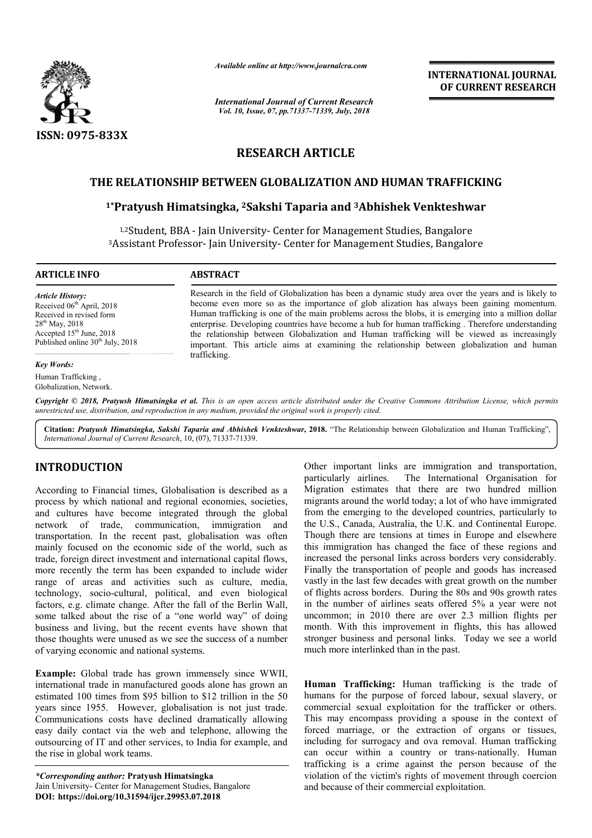

*Available online at http://www.journalcra.com*

*International Journal of Current Research Vol. 10, Issue, 07, pp.71337-71339, July, 2018*

**INTERNATIONAL JOURNAL OF CURRENT RESEARCH**

# **RESEARCH ARTICLE**

## **THE RELATIONSHIP BETWEEN GLOBALIZATION AND HUMAN TRAFFICKING**

# E RELATIONSHIP BETWEEN GLOBALIZATION AND HUMAN TRAFFICKI<br><sup>1\*</sup>Pratyush Himatsingka, <sup>2</sup>Sakshi Taparia and <sup>3</sup>Abhishek Venkteshwar

<sup>1,2</sup>Student, BBA - Jain University- Center for Management Studies, Bangalore <sup>3</sup>Assistant Professor- Jain University- Center for Management Studies, Bangalore

**ARTICLE INFO ABSTRACT**

*Article History:*

28th May, 2018

*Key Words:* Human Trafficking , Globalization, Network.

Research in the field of Globalization has been a dynamic study area over the years and is likely to Research in the field of Globalization has been a dynamic study area over the years and is likely to become even more so as the importance of glob alization has always been gaining momentum. Human trafficking is one of the main problems across the blobs, it is emerging into a million dollar enterprise. Developing countries have become a hub for human trafficking . Therefore understanding the relationship between Globalization and Human trafficking will be viewed as increasingly important. This article aims at examining the relationship between globalization and human trafficking. Received 06<sup>th</sup> April, 2018 Received in revised form Accepted  $15<sup>th</sup>$  June, 2018 Published online  $30<sup>th</sup>$  July, 2018 Human trafficking is one of the main problems across the blobs, it is emerging into a enterprise. Developing countries have become a hub for human trafficking. Therefore the relationship between Globalization and Human tra

Copyright © 2018, Pratyush Himatsingka et al. This is an open access article distributed under the Creative Commons Attribution License, which permits *unrestricted use, distribution, and reproduction in any medium, provided the original work is properly cited.*

Citation: Pratyush Himatsingka, Sakshi Taparia and Abhishek Venkteshwar, 2018. "The Relationship between Globalization and Human Trafficking", *International Journal of Current Research*, 10, (07), 71337 71337-71339.

# **INTRODUCTION**

According to Financial times, Globalisation is described as a process by which national and regional economies, societies, and cultures have become integrated through the global network of trade, communication, immigration and transportation. In the recent past, globalisation was often mainly focused on the economic side of the world, such as trade, foreign direct investment and international capital flows, more recently the term has been expanded to include wider range of areas and activities such as culture, media, technology, socio-cultural, political, and even biological factors, e.g. climate change. After the fall of the Berlin Wall, some talked about the rise of a "one world way" of doing business and living, but the recent events have shown that those thoughts were unused as we see the success of a number of varying economic and national systems. gy, socio-cultural, political, g. climate change. After the ked about the rise of a "one and living, but the recent cughts were unused as we see g economic and national syste : Global trade has grown in trade in manufactur

**Example:** Global trade has grown immensely since WWII, international trade in manufactured goods alone has grown an estimated 100 times from \$95 billion to \$12 trillion in the 50 years since 1955. However, globalisation is not just trade. Communications costs have declined dramatically allowing easy daily contact via the web and telephone, allowing the outsourcing of IT and other services, to India for example, and the rise in global work teams.

*\*Corresponding author:* **Pratyush Himatsingka** Jain University- Center for Management Studies, Bangalore **DOI: https://doi.org/10.31594/ijcr.29953.07.2018**

*SI*, Globalisation is described as Marximitinks are immigration and transportation, one immigrated through societies, migrantia format relation of the integrated commises, societies, migrantia from the wordled of of who particularly airlines. The International Organisation for Migration estimates that there are two hundred million migrants around the world today; a lot of who have immigrated from the emerging to the developed countries, particularly to the U.S., Canada, Australia, the U.K. and Continental Europe. Though there are tensions at times in Europe and elsewhere this immigration has changed the face of these regions and increased the personal links across borders very considerably. Finally the transportation of people and goods has increased this immigration has changed the face of these regions and increased the personal links across borders very considerably.<br>Finally the transportation of people and goods has increased vastly in the last few decades with gre of flights across borders. During the 80s and 90s growth rates in the number of airlines seats offered 5% a year were not uncommon; in 2010 there are over 2.3 million flights per month. With this improvement in flights, this has allowed stronger business and personal links. Today we see a world much more interlinked than in the past. Other important links are immigration and transportation, particularly airlines. The International Organisation for Migration estimates that there are two hundred million migrants around the world today; a lot of who have of flights across borders. During the 80s and 90s growth rates<br>in the number of airlines seats offered 5% a year were not<br>uncommon; in 2010 there are over 2.3 million flights per<br>month. With this improvement in flights, th INTERNATIONAL JOURNAL<br>
OF CURRENT RESEARCH<br>
the COURNENT RESEARCH<br>
The COURNENT RESEARCH<br>
DEVIDENCE CONSIDE TRANSIFICATING<br>
DEVIDENCE AS BANGA CONSIDE TO THE SURVEY AND SUZE (THE SURVEY CONSIDE the station of the station o

**Human Trafficking:** Human trafficking is the trade of humans for the purpose of forced labour, sexual slavery, or commercial sexual exploitation for the trafficker or others. This may encompass providing a spouse in the context of forced marriage, or the extraction of organs or tissues, including for surrogacy and ova removal. Human trafficking can occur within a country or trans-nationally. Human trafficking is a crime against the person because of the violation of the victim's rights of movement through coercion and because of their commercial exploitation.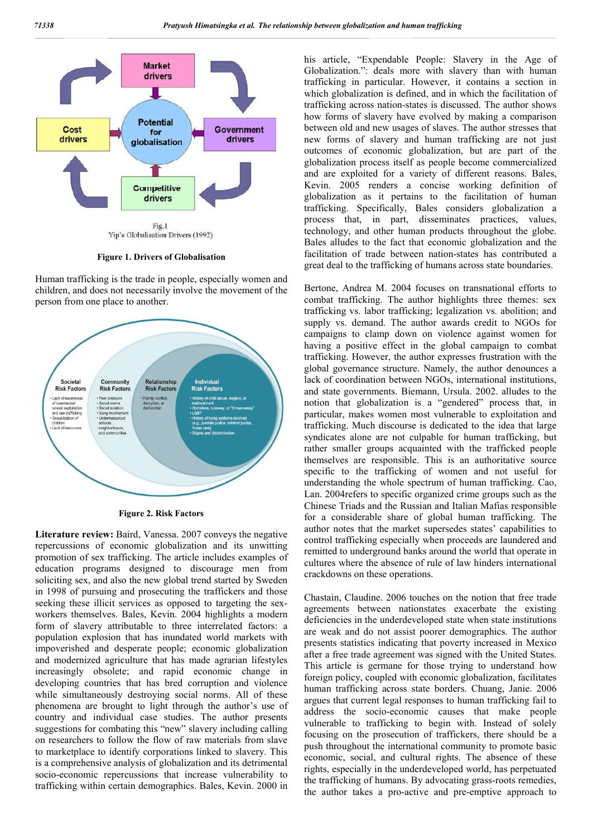

**Figure 1. Drivers of Globalisation**

Human trafficking is the trade in people, especially women and children, and does not necessarily involve the movement of the person from one place to another.



**Figure 2. Risk Factors**

**Literature review:** Baird, Vanessa. 2007 conveys the negative repercussions of economic globalization and its unwitting promotion of sex trafficking. The article includes examples of education programs designed to discourage men from soliciting sex, and also the new global trend started by Sweden in 1998 of pursuing and prosecuting the traffickers and those seeking these illicit services as opposed to targeting the sexworkers themselves. Bales, Kevin. 2004 highlights a modern form of slavery attributable to three interrelated factors: a population explosion that has inundated world markets with impoverished and desperate people; economic globalization and modernized agriculture that has made agrarian lifestyles increasingly obsolete; and rapid economic change in developing countries that has bred corruption and violence while simultaneously destroying social norms. All of these phenomena are brought to light through the author's use of country and individual case studies. The author presents suggestions for combating this "new" slavery including calling on researchers to follow the flow of raw materials from slave to marketplace to identify corporations linked to slavery. This is a comprehensive analysis of globalization and its detrimental socio-economic repercussions that increase vulnerability to trafficking within certain demographics. Bales, Kevin. 2000 in

his article, "Expendable People: Slavery in the Age of Globalization.": deals more with slavery than with human trafficking in particular. However, it contains a section in which globalization is defined, and in which the facilitation of trafficking across nation-states is discussed. The author shows how forms of slavery have evolved by making a comparison between old and new usages of slaves. The author stresses that new forms of slavery and human trafficking are not just outcomes of economic globalization, but are part of the globalization process itself as people become commercialized and are exploited for a variety of different reasons. Bales, Kevin. 2005 renders a concise working definition of globalization as it pertains to the facilitation of human trafficking. Specifically, Bales considers globalization a process that, in part, disseminates practices, values, technology, and other human products throughout the globe. Bales alludes to the fact that economic globalization and the facilitation of trade between nation-states has contributed a great deal to the trafficking of humans across state boundaries.

Bertone, Andrea M. 2004 focuses on transnational efforts to combat trafficking. The author highlights three themes: sex trafficking vs. labor trafficking; legalization vs. abolition; and supply vs. demand. The author awards credit to NGOs for campaigns to clamp down on violence against women for having a positive effect in the global campaign to combat trafficking. However, the author expresses frustration with the global governance structure. Namely, the author denounces a lack of coordination between NGOs, international institutions, and state governments. Biemann, Ursula. 2002. alludes to the notion that globalization is a "gendered" process that, in particular, makes women most vulnerable to exploitation and trafficking. Much discourse is dedicated to the idea that large syndicates alone are not culpable for human trafficking, but rather smaller groups acquainted with the trafficked people themselves are responsible. This is an authoritative source specific to the trafficking of women and not useful for understanding the whole spectrum of human trafficking. Cao, Lan. 2004refers to specific organized crime groups such as the Chinese Triads and the Russian and Italian Mafias responsible for a considerable share of global human trafficking. The author notes that the market supersedes states' capabilities to control trafficking especially when proceeds are laundered and remitted to underground banks around the world that operate in cultures where the absence of rule of law hinders international crackdowns on these operations.

Chastain, Claudine. 2006 touches on the notion that free trade agreements between nationstates exacerbate the existing deficiencies in the underdeveloped state when state institutions are weak and do not assist poorer demographics. The author presents statistics indicating that poverty increased in Mexico after a free trade agreement was signed with the United States. This article is germane for those trying to understand how foreign policy, coupled with economic globalization, facilitates human trafficking across state borders. Chuang, Janie. 2006 argues that current legal responses to human trafficking fail to address the socio-economic causes that make people vulnerable to trafficking to begin with. Instead of solely focusing on the prosecution of traffickers, there should be a push throughout the international community to promote basic economic, social, and cultural rights. The absence of these rights, especially in the underdeveloped world, has perpetuated the trafficking of humans. By advocating grass-roots remedies, the author takes a pro-active and pre-emptive approach to